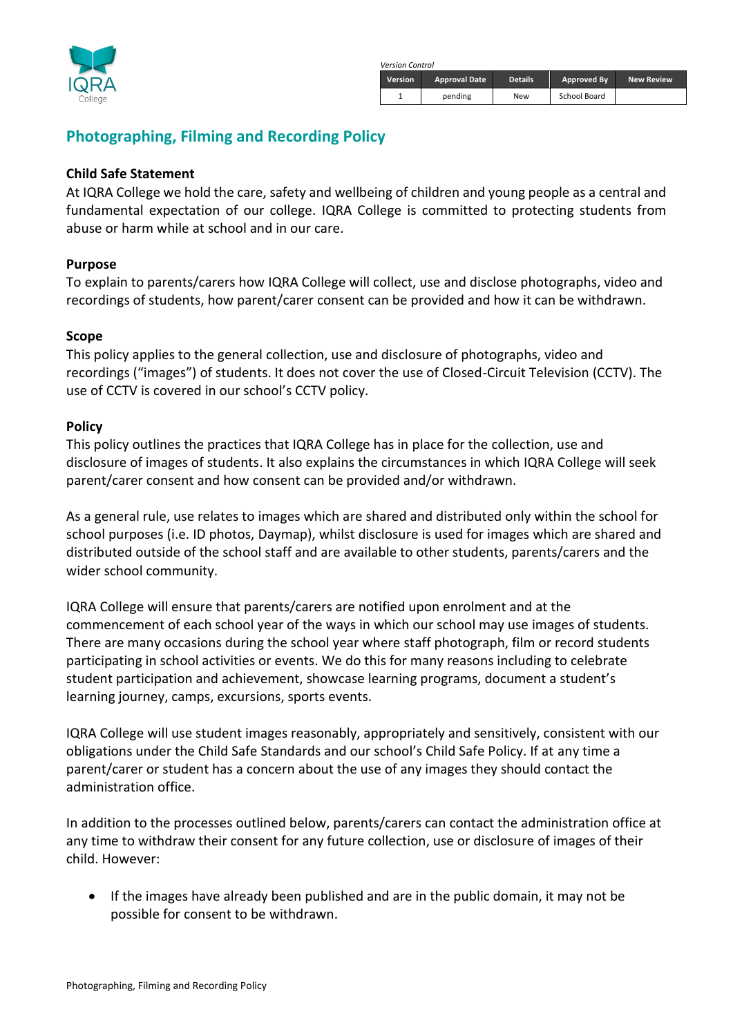

 *Version Control*

| Version | <b>Approval Date</b> | <b>Details</b> | Approved By  | <b>New Review</b> |
|---------|----------------------|----------------|--------------|-------------------|
|         | pending              | New            | School Board |                   |

# **Photographing, Filming and Recording Policy**

#### **Child Safe Statement**

At IQRA College we hold the care, safety and wellbeing of children and young people as a central and fundamental expectation of our college. IQRA College is committed to protecting students from abuse or harm while at school and in our care.

#### **Purpose**

To explain to parents/carers how IQRA College will collect, use and disclose photographs, video and recordings of students, how parent/carer consent can be provided and how it can be withdrawn.

#### **Scope**

This policy applies to the general collection, use and disclosure of photographs, video and recordings ("images") of students. It does not cover the use of Closed-Circuit Television (CCTV). The use of CCTV is covered in our school's CCTV policy.

#### **Policy**

This policy outlines the practices that IQRA College has in place for the collection, use and disclosure of images of students. It also explains the circumstances in which IQRA College will seek parent/carer consent and how consent can be provided and/or withdrawn.

As a general rule, use relates to images which are shared and distributed only within the school for school purposes (i.e. ID photos, Daymap), whilst disclosure is used for images which are shared and distributed outside of the school staff and are available to other students, parents/carers and the wider school community.

IQRA College will ensure that parents/carers are notified upon enrolment and at the commencement of each school year of the ways in which our school may use images of students. There are many occasions during the school year where staff photograph, film or record students participating in school activities or events. We do this for many reasons including to celebrate student participation and achievement, showcase learning programs, document a student's learning journey, camps, excursions, sports events.

IQRA College will use student images reasonably, appropriately and sensitively, consistent with our obligations under the Child Safe Standards and our school's Child Safe Policy. If at any time a parent/carer or student has a concern about the use of any images they should contact the administration office.

In addition to the processes outlined below, parents/carers can contact the administration office at any time to withdraw their consent for any future collection, use or disclosure of images of their child. However:

• If the images have already been published and are in the public domain, it may not be possible for consent to be withdrawn.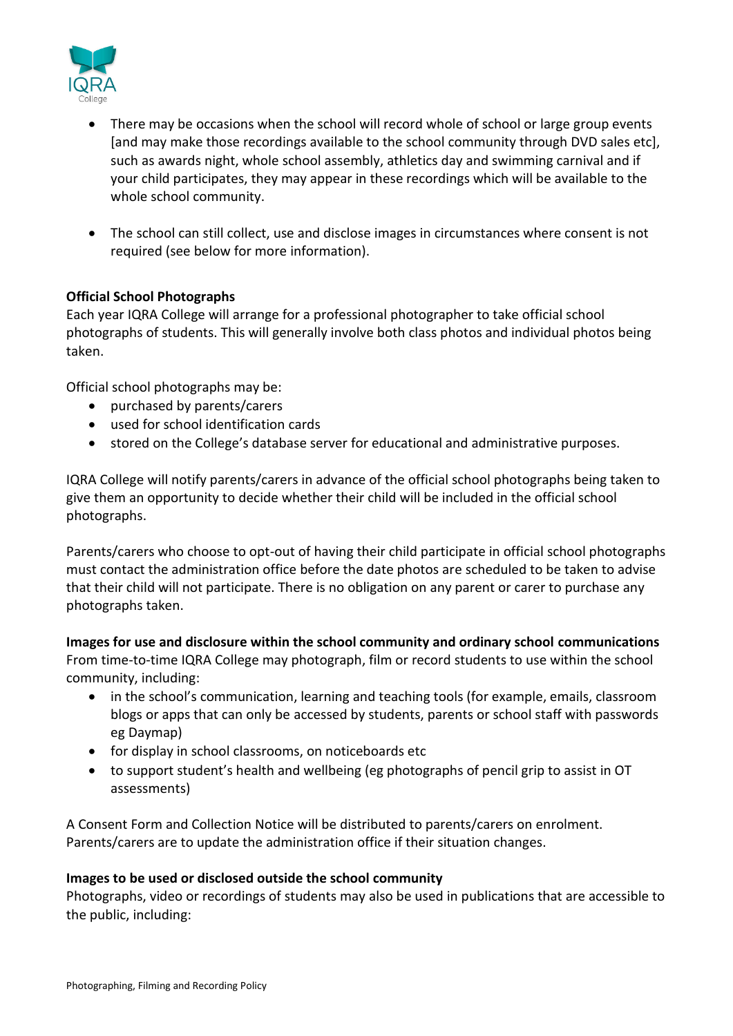

- There may be occasions when the school will record whole of school or large group events [and may make those recordings available to the school community through DVD sales etc], such as awards night, whole school assembly, athletics day and swimming carnival and if your child participates, they may appear in these recordings which will be available to the whole school community.
- The school can still collect, use and disclose images in circumstances where consent is not required (see below for more information).

## **Official School Photographs**

Each year IQRA College will arrange for a professional photographer to take official school photographs of students. This will generally involve both class photos and individual photos being taken.

Official school photographs may be:

- purchased by parents/carers
- used for school identification cards
- stored on the College's database server for educational and administrative purposes.

IQRA College will notify parents/carers in advance of the official school photographs being taken to give them an opportunity to decide whether their child will be included in the official school photographs.

Parents/carers who choose to opt-out of having their child participate in official school photographs must contact the administration office before the date photos are scheduled to be taken to advise that their child will not participate. There is no obligation on any parent or carer to purchase any photographs taken.

**Images for use and disclosure within the school community and ordinary school communications** From time-to-time IQRA College may photograph, film or record students to use within the school community, including:

- in the school's communication, learning and teaching tools (for example, emails, classroom blogs or apps that can only be accessed by students, parents or school staff with passwords eg Daymap)
- for display in school classrooms, on noticeboards etc
- to support student's health and wellbeing (eg photographs of pencil grip to assist in OT assessments)

A Consent Form and Collection Notice will be distributed to parents/carers on enrolment. Parents/carers are to update the administration office if their situation changes.

#### **Images to be used or disclosed outside the school community**

Photographs, video or recordings of students may also be used in publications that are accessible to the public, including: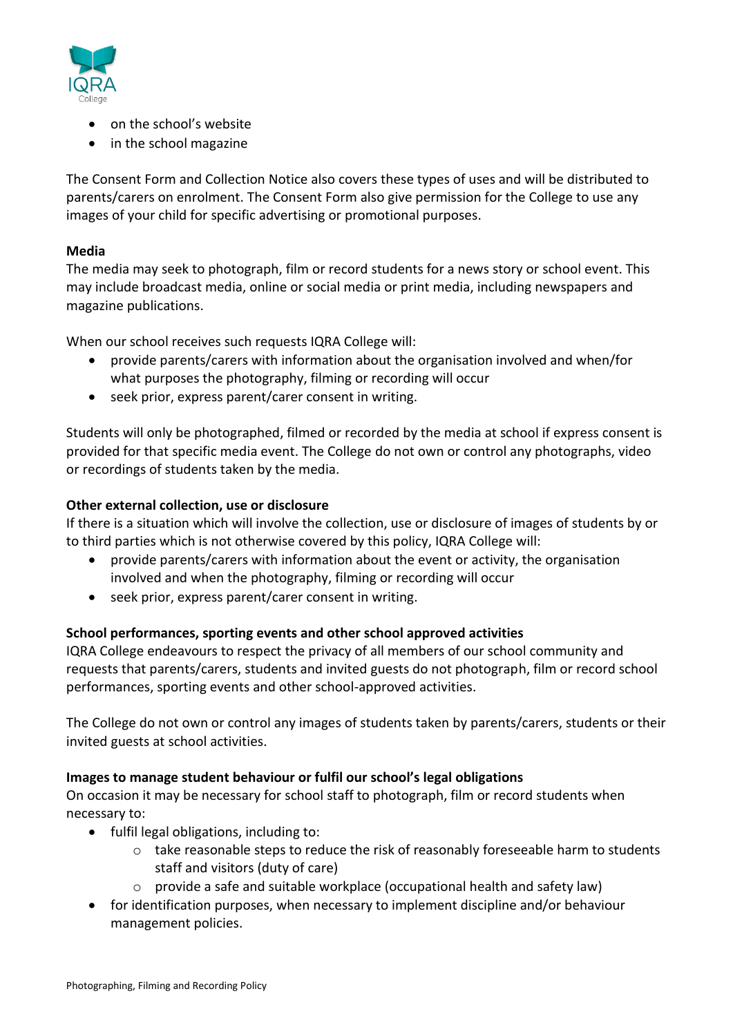

- on the school's website
- in the school magazine

The Consent Form and Collection Notice also covers these types of uses and will be distributed to parents/carers on enrolment. The Consent Form also give permission for the College to use any images of your child for specific advertising or promotional purposes.

## **Media**

The media may seek to photograph, film or record students for a news story or school event. This may include broadcast media, online or social media or print media, including newspapers and magazine publications.

When our school receives such requests IQRA College will:

- provide parents/carers with information about the organisation involved and when/for what purposes the photography, filming or recording will occur
- seek prior, express parent/carer consent in writing.

Students will only be photographed, filmed or recorded by the media at school if express consent is provided for that specific media event. The College do not own or control any photographs, video or recordings of students taken by the media.

### **Other external collection, use or disclosure**

If there is a situation which will involve the collection, use or disclosure of images of students by or to third parties which is not otherwise covered by this policy, IQRA College will:

- provide parents/carers with information about the event or activity, the organisation involved and when the photography, filming or recording will occur
- seek prior, express parent/carer consent in writing.

## **School performances, sporting events and other school approved activities**

IQRA College endeavours to respect the privacy of all members of our school community and requests that parents/carers, students and invited guests do not photograph, film or record school performances, sporting events and other school-approved activities.

The College do not own or control any images of students taken by parents/carers, students or their invited guests at school activities.

## **Images to manage student behaviour or fulfil our school's legal obligations**

On occasion it may be necessary for school staff to photograph, film or record students when necessary to:

- fulfil legal obligations, including to:
	- o take reasonable steps to reduce the risk of reasonably foreseeable harm to students staff and visitors (duty of care)
	- $\circ$  provide a safe and suitable workplace (occupational health and safety law)
- for identification purposes, when necessary to implement discipline and/or behaviour management policies.